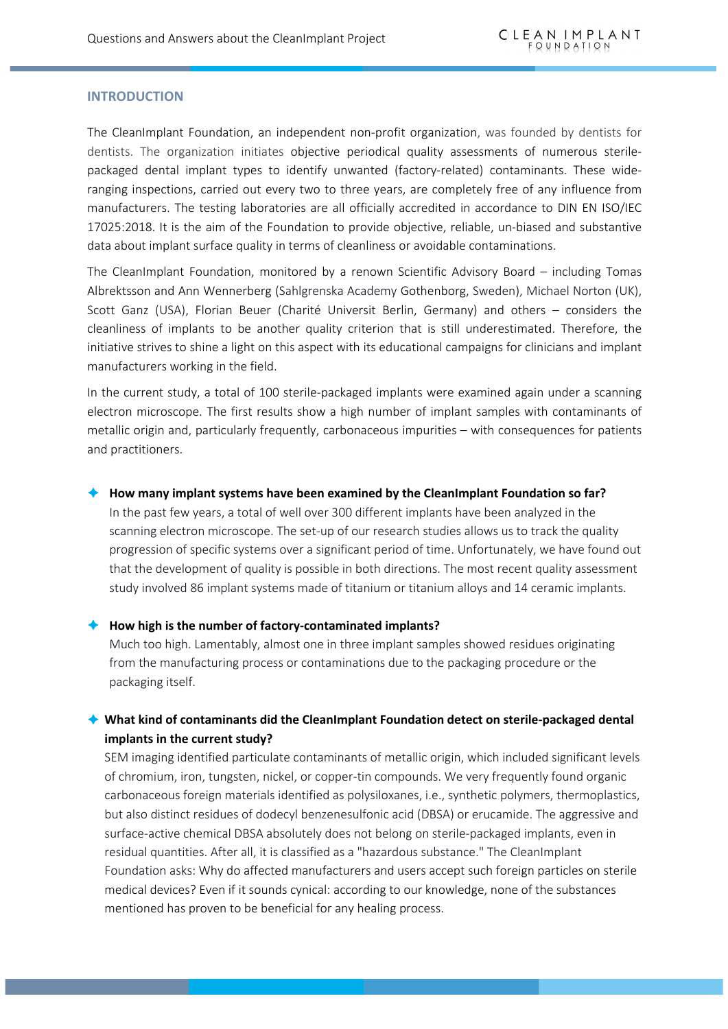### **INTRODUCTION**

The CleanImplant Foundation, an independent non-profit organization, was founded by dentists for dentists. The organization initiates objective periodical quality assessments of numerous sterilepackaged dental implant types to identify unwanted (factory-related) contaminants. These wideranging inspections, carried out every two to three years, are completely free of any influence from manufacturers. The testing laboratories are all officially accredited in accordance to DIN EN ISO/IEC 17025:2018. It is the aim of the Foundation to provide objective, reliable, un-biased and substantive data about implant surface quality in terms of cleanliness or avoidable contaminations.

The CleanImplant Foundation, monitored by a renown Scientific Advisory Board – including Tomas Albrektsson and Ann Wennerberg (Sahlgrenska Academy Gothenborg, Sweden), Michael Norton (UK), Scott Ganz (USA), Florian Beuer (Charité Universit Berlin, Germany) and others – considers the cleanliness of implants to be another quality criterion that is still underestimated. Therefore, the initiative strives to shine a light on this aspect with its educational campaigns for clinicians and implant manufacturers working in the field.

In the current study, a total of 100 sterile-packaged implants were examined again under a scanning electron microscope. The first results show a high number of implant samples with contaminants of metallic origin and, particularly frequently, carbonaceous impurities – with consequences for patients and practitioners.

#### è **How many implant systems have been examined by the CleanImplant Foundation so far?**

In the past few years, a total of well over 300 different implants have been analyzed in the scanning electron microscope. The set-up of our research studies allows us to track the quality progression of specific systems over a significant period of time. Unfortunately, we have found out that the development of quality is possible in both directions. The most recent quality assessment study involved 86 implant systems made of titanium or titanium alloys and 14 ceramic implants.

#### è **How high is the number of factory-contaminated implants?**

Much too high. Lamentably, almost one in three implant samples showed residues originating from the manufacturing process or contaminations due to the packaging procedure or the packaging itself.

## è **What kind of contaminants did the CleanImplant Foundation detect on sterile-packaged dental implants in the current study?**

SEM imaging identified particulate contaminants of metallic origin, which included significant levels of chromium, iron, tungsten, nickel, or copper-tin compounds. We very frequently found organic carbonaceous foreign materials identified as polysiloxanes, i.e., synthetic polymers, thermoplastics, but also distinct residues of dodecyl benzenesulfonic acid (DBSA) or erucamide. The aggressive and surface-active chemical DBSA absolutely does not belong on sterile-packaged implants, even in residual quantities. After all, it is classified as a "hazardous substance." The CleanImplant Foundation asks: Why do affected manufacturers and users accept such foreign particles on sterile medical devices? Even if it sounds cynical: according to our knowledge, none of the substances mentioned has proven to be beneficial for any healing process.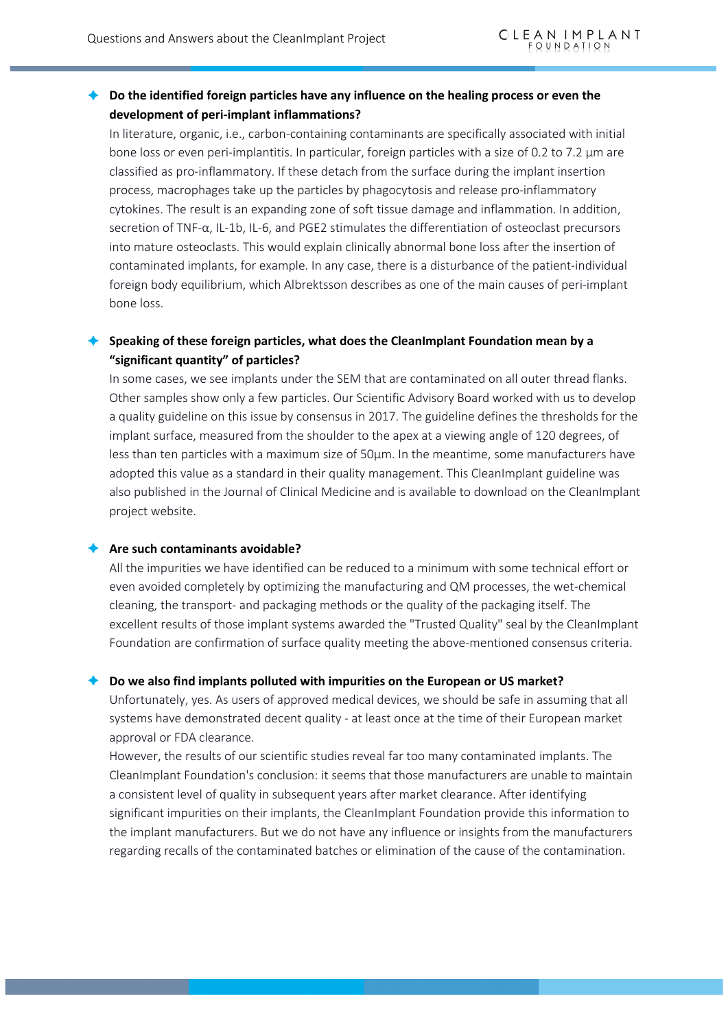## è **Do the identified foreign particles have any influence on the healing process or even the development of peri-implant inflammations?**

In literature, organic, i.e., carbon-containing contaminants are specifically associated with initial bone loss or even peri-implantitis. In particular, foreign particles with a size of 0.2 to 7.2 µm are classified as pro-inflammatory. If these detach from the surface during the implant insertion process, macrophages take up the particles by phagocytosis and release pro-inflammatory cytokines. The result is an expanding zone of soft tissue damage and inflammation. In addition, secretion of TNF-α, IL-1b, IL-6, and PGE2 stimulates the differentiation of osteoclast precursors into mature osteoclasts. This would explain clinically abnormal bone loss after the insertion of contaminated implants, for example. In any case, there is a disturbance of the patient-individual foreign body equilibrium, which Albrektsson describes as one of the main causes of peri-implant bone loss.

# è **Speaking of these foreign particles, what does the CleanImplant Foundation mean by a "significant quantity" of particles?**

In some cases, we see implants under the SEM that are contaminated on all outer thread flanks. Other samples show only a few particles. Our Scientific Advisory Board worked with us to develop a quality guideline on this issue by consensus in 2017. The guideline defines the thresholds for the implant surface, measured from the shoulder to the apex at a viewing angle of 120 degrees, of less than ten particles with a maximum size of 50µm. In the meantime, some manufacturers have adopted this value as a standard in their quality management. This CleanImplant guideline was also published in the Journal of Clinical Medicine and is available to download on the CleanImplant project website.

#### è **Are such contaminants avoidable?**

All the impurities we have identified can be reduced to a minimum with some technical effort or even avoided completely by optimizing the manufacturing and QM processes, the wet-chemical cleaning, the transport- and packaging methods or the quality of the packaging itself. The excellent results of those implant systems awarded the "Trusted Quality" seal by the CleanImplant Foundation are confirmation of surface quality meeting the above-mentioned consensus criteria.

### è **Do we also find implants polluted with impurities on the European or US market?**

Unfortunately, yes. As users of approved medical devices, we should be safe in assuming that all systems have demonstrated decent quality - at least once at the time of their European market approval or FDA clearance.

However, the results of our scientific studies reveal far too many contaminated implants. The CleanImplant Foundation's conclusion: it seems that those manufacturers are unable to maintain a consistent level of quality in subsequent years after market clearance. After identifying significant impurities on their implants, the CleanImplant Foundation provide this information to the implant manufacturers. But we do not have any influence or insights from the manufacturers regarding recalls of the contaminated batches or elimination of the cause of the contamination.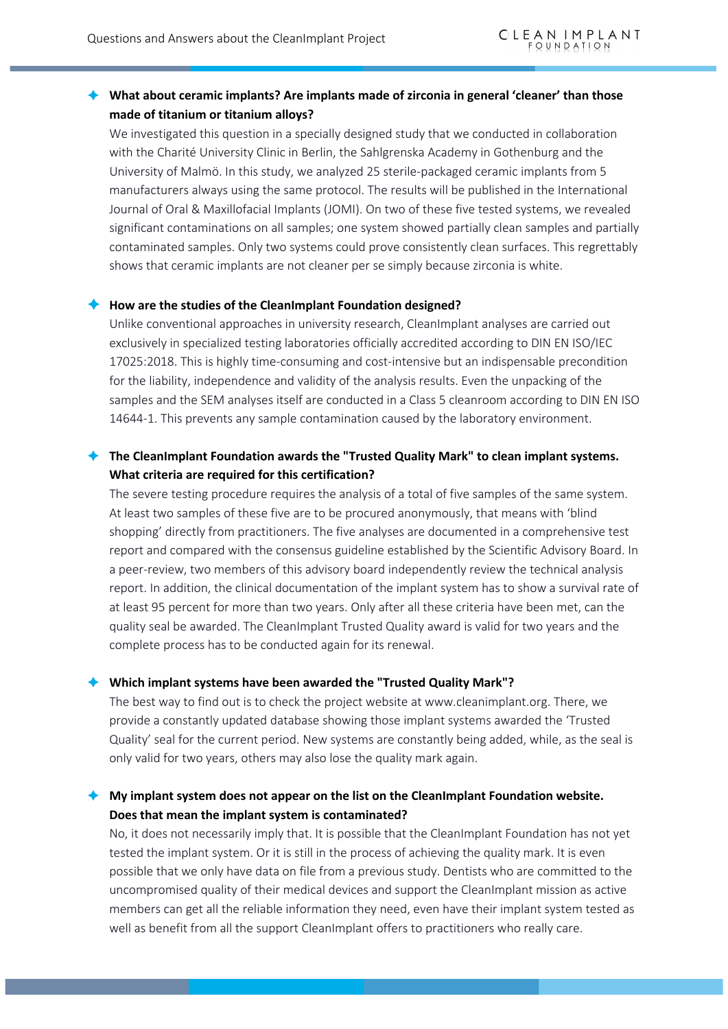# è **What about ceramic implants? Are implants made of zirconia in general 'cleaner' than those made of titanium or titanium alloys?**

We investigated this question in a specially designed study that we conducted in collaboration with the Charité University Clinic in Berlin, the Sahlgrenska Academy in Gothenburg and the University of Malmö. In this study, we analyzed 25 sterile-packaged ceramic implants from 5 manufacturers always using the same protocol. The results will be published in the International Journal of Oral & Maxillofacial Implants (JOMI). On two of these five tested systems, we revealed significant contaminations on all samples; one system showed partially clean samples and partially contaminated samples. Only two systems could prove consistently clean surfaces. This regrettably shows that ceramic implants are not cleaner per se simply because zirconia is white.

#### è **How are the studies of the CleanImplant Foundation designed?**

Unlike conventional approaches in university research, CleanImplant analyses are carried out exclusively in specialized testing laboratories officially accredited according to DIN EN ISO/IEC 17025:2018. This is highly time-consuming and cost-intensive but an indispensable precondition for the liability, independence and validity of the analysis results. Even the unpacking of the samples and the SEM analyses itself are conducted in a Class 5 cleanroom according to DIN EN ISO 14644-1. This prevents any sample contamination caused by the laboratory environment.

### è **The CleanImplant Foundation awards the "Trusted Quality Mark" to clean implant systems. What criteria are required for this certification?**

The severe testing procedure requires the analysis of a total of five samples of the same system. At least two samples of these five are to be procured anonymously, that means with 'blind shopping' directly from practitioners. The five analyses are documented in a comprehensive test report and compared with the consensus guideline established by the Scientific Advisory Board. In a peer-review, two members of this advisory board independently review the technical analysis report. In addition, the clinical documentation of the implant system has to show a survival rate of at least 95 percent for more than two years. Only after all these criteria have been met, can the quality seal be awarded. The CleanImplant Trusted Quality award is valid for two years and the complete process has to be conducted again for its renewal.

### è **Which implant systems have been awarded the "Trusted Quality Mark"?**

The best way to find out is to check the project website at www.cleanimplant.org. There, we provide a constantly updated database showing those implant systems awarded the 'Trusted Quality' seal for the current period. New systems are constantly being added, while, as the seal is only valid for two years, others may also lose the quality mark again.

## è **My implant system does not appear on the list on the CleanImplant Foundation website. Does that mean the implant system is contaminated?**

No, it does not necessarily imply that. It is possible that the CleanImplant Foundation has not yet tested the implant system. Or it is still in the process of achieving the quality mark. It is even possible that we only have data on file from a previous study. Dentists who are committed to the uncompromised quality of their medical devices and support the CleanImplant mission as active members can get all the reliable information they need, even have their implant system tested as well as benefit from all the support CleanImplant offers to practitioners who really care.